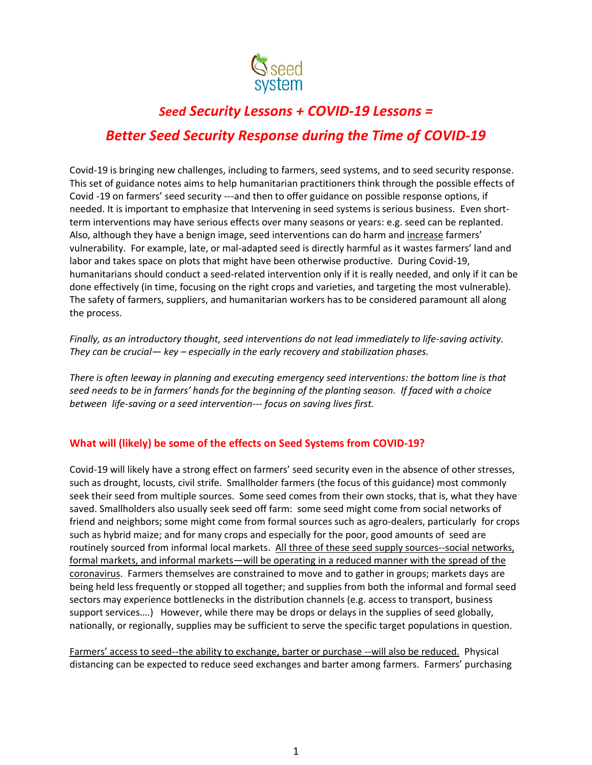

# *Seed Security Lessons + COVID-19 Lessons = Better Seed Security Response during the Time of COVID-19*

Covid-19 is bringing new challenges, including to farmers, seed systems, and to seed security response. This set of guidance notes aims to help humanitarian practitioners think through the possible effects of Covid -19 on farmers' seed security ---and then to offer guidance on possible response options, if needed. It is important to emphasize that Intervening in seed systems is serious business. Even shortterm interventions may have serious effects over many seasons or years: e.g. seed can be replanted. Also, although they have a benign image, seed interventions can do harm and increase farmers' vulnerability. For example, late, or mal-adapted seed is directly harmful as it wastes farmers' land and labor and takes space on plots that might have been otherwise productive. During Covid-19, humanitarians should conduct a seed-related intervention only if it is really needed, and only if it can be done effectively (in time, focusing on the right crops and varieties, and targeting the most vulnerable). The safety of farmers, suppliers, and humanitarian workers has to be considered paramount all along the process.

*Finally, as an introductory thought, seed interventions do not lead immediately to life-saving activity. They can be crucial— key – especially in the early recovery and stabilization phases.*

*There is often leeway in planning and executing emergency seed interventions: the bottom line is that seed needs to be in farmers' hands for the beginning of the planting season. If faced with a choice between life-saving or a seed intervention--- focus on saving lives first.*

# **What will (likely) be some of the effects on Seed Systems from COVID-19?**

Covid-19 will likely have a strong effect on farmers' seed security even in the absence of other stresses, such as drought, locusts, civil strife. Smallholder farmers (the focus of this guidance) most commonly seek their seed from multiple sources. Some seed comes from their own stocks, that is, what they have saved. Smallholders also usually seek seed off farm: some seed might come from social networks of friend and neighbors; some might come from formal sources such as agro-dealers, particularly for crops such as hybrid maize; and for many crops and especially for the poor, good amounts of seed are routinely sourced from informal local markets. All three of these seed supply sources--social networks, formal markets, and informal markets—will be operating in a reduced manner with the spread of the coronavirus. Farmers themselves are constrained to move and to gather in groups; markets days are being held less frequently or stopped all together; and supplies from both the informal and formal seed sectors may experience bottlenecks in the distribution channels (e.g. access to transport, business support services....) However, while there may be drops or delays in the supplies of seed globally, nationally, or regionally, supplies may be sufficient to serve the specific target populations in question.

Farmers' access to seed--the ability to exchange, barter or purchase --will also be reduced. Physical distancing can be expected to reduce seed exchanges and barter among farmers. Farmers' purchasing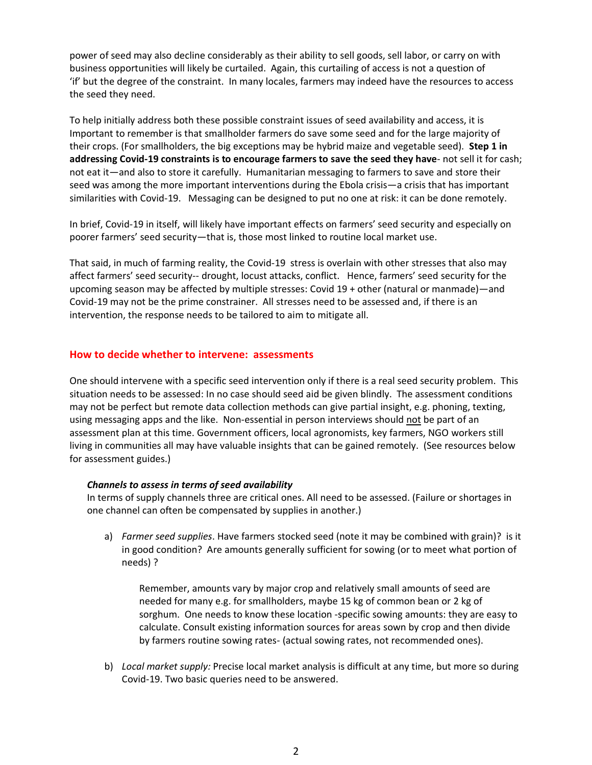power of seed may also decline considerably as their ability to sell goods, sell labor, or carry on with business opportunities will likely be curtailed. Again, this curtailing of access is not a question of 'if' but the degree of the constraint. In many locales, farmers may indeed have the resources to access the seed they need.

To help initially address both these possible constraint issues of seed availability and access, it is Important to remember is that smallholder farmers do save some seed and for the large majority of their crops. (For smallholders, the big exceptions may be hybrid maize and vegetable seed). **Step 1 in addressing Covid-19 constraints is to encourage farmers to save the seed they have**- not sell it for cash; not eat it—and also to store it carefully. Humanitarian messaging to farmers to save and store their seed was among the more important interventions during the Ebola crisis—a crisis that has important similarities with Covid-19. Messaging can be designed to put no one at risk: it can be done remotely.

In brief, Covid-19 in itself, will likely have important effects on farmers' seed security and especially on poorer farmers' seed security—that is, those most linked to routine local market use.

That said, in much of farming reality, the Covid-19 stress is overlain with other stresses that also may affect farmers' seed security-- drought, locust attacks, conflict. Hence, farmers' seed security for the upcoming season may be affected by multiple stresses: Covid 19 + other (natural or manmade)—and Covid-19 may not be the prime constrainer. All stresses need to be assessed and, if there is an intervention, the response needs to be tailored to aim to mitigate all.

## **How to decide whether to intervene: assessments**

One should intervene with a specific seed intervention only if there is a real seed security problem. This situation needs to be assessed: In no case should seed aid be given blindly. The assessment conditions may not be perfect but remote data collection methods can give partial insight, e.g. phoning, texting, using messaging apps and the like. Non-essential in person interviews should not be part of an assessment plan at this time. Government officers, local agronomists, key farmers, NGO workers still living in communities all may have valuable insights that can be gained remotely. (See resources below for assessment guides.)

#### *Channels to assess in terms of seed availability*

In terms of supply channels three are critical ones. All need to be assessed. (Failure or shortages in one channel can often be compensated by supplies in another.)

a) *Farmer seed supplies*. Have farmers stocked seed (note it may be combined with grain)? is it in good condition? Are amounts generally sufficient for sowing (or to meet what portion of needs) ?

Remember, amounts vary by major crop and relatively small amounts of seed are needed for many e.g. for smallholders, maybe 15 kg of common bean or 2 kg of sorghum. One needs to know these location -specific sowing amounts: they are easy to calculate. Consult existing information sources for areas sown by crop and then divide by farmers routine sowing rates- (actual sowing rates, not recommended ones).

b) *Local market supply:* Precise local market analysis is difficult at any time, but more so during Covid-19. Two basic queries need to be answered.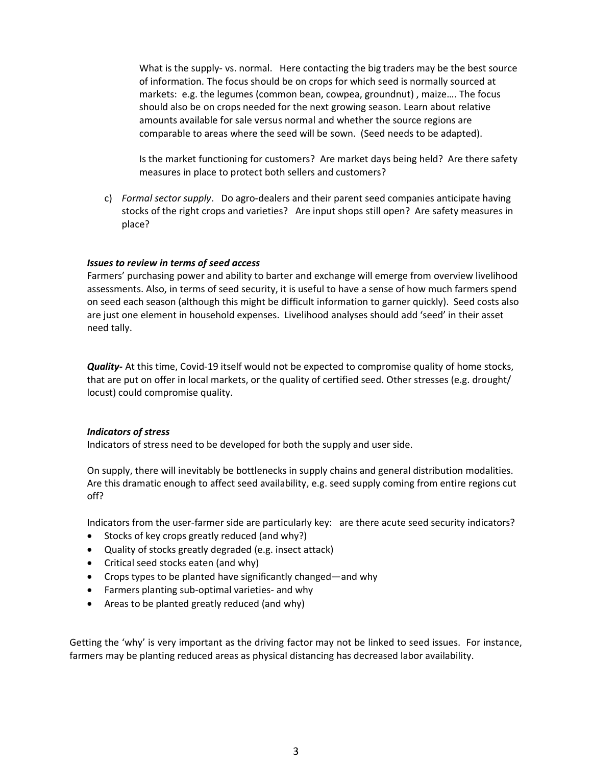What is the supply- vs. normal. Here contacting the big traders may be the best source of information. The focus should be on crops for which seed is normally sourced at markets: e.g. the legumes (common bean, cowpea, groundnut) , maize…. The focus should also be on crops needed for the next growing season. Learn about relative amounts available for sale versus normal and whether the source regions are comparable to areas where the seed will be sown. (Seed needs to be adapted).

Is the market functioning for customers? Are market days being held? Are there safety measures in place to protect both sellers and customers?

c) *Formal sector supply*. Do agro-dealers and their parent seed companies anticipate having stocks of the right crops and varieties? Are input shops still open? Are safety measures in place?

#### *Issues to review in terms of seed access*

Farmers' purchasing power and ability to barter and exchange will emerge from overview livelihood assessments. Also, in terms of seed security, it is useful to have a sense of how much farmers spend on seed each season (although this might be difficult information to garner quickly). Seed costs also are just one element in household expenses. Livelihood analyses should add 'seed' in their asset need tally.

*Quality-* At this time, Covid-19 itself would not be expected to compromise quality of home stocks, that are put on offer in local markets, or the quality of certified seed. Other stresses (e.g. drought/ locust) could compromise quality.

#### *Indicators of stress*

Indicators of stress need to be developed for both the supply and user side.

On supply, there will inevitably be bottlenecks in supply chains and general distribution modalities. Are this dramatic enough to affect seed availability, e.g. seed supply coming from entire regions cut off?

Indicators from the user-farmer side are particularly key: are there acute seed security indicators?

- Stocks of key crops greatly reduced (and why?)
- Quality of stocks greatly degraded (e.g. insect attack)
- Critical seed stocks eaten (and why)
- Crops types to be planted have significantly changed—and why
- Farmers planting sub-optimal varieties- and why
- Areas to be planted greatly reduced (and why)

Getting the 'why' is very important as the driving factor may not be linked to seed issues. For instance, farmers may be planting reduced areas as physical distancing has decreased labor availability.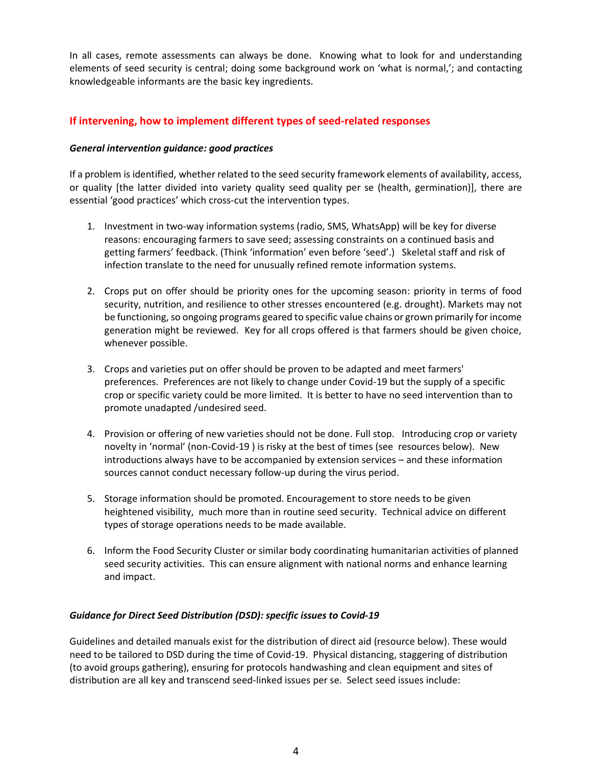In all cases, remote assessments can always be done. Knowing what to look for and understanding elements of seed security is central; doing some background work on 'what is normal,'; and contacting knowledgeable informants are the basic key ingredients.

# **If intervening, how to implement different types of seed-related responses**

## *General intervention guidance: good practices*

If a problem is identified, whether related to the seed security framework elements of availability, access, or quality [the latter divided into variety quality seed quality per se (health, germination)], there are essential 'good practices' which cross-cut the intervention types.

- 1. Investment in two-way information systems (radio, SMS, WhatsApp) will be key for diverse reasons: encouraging farmers to save seed; assessing constraints on a continued basis and getting farmers' feedback. (Think 'information' even before 'seed'.) Skeletal staff and risk of infection translate to the need for unusually refined remote information systems.
- 2. Crops put on offer should be priority ones for the upcoming season: priority in terms of food security, nutrition, and resilience to other stresses encountered (e.g. drought). Markets may not be functioning, so ongoing programs geared to specific value chains or grown primarily for income generation might be reviewed. Key for all crops offered is that farmers should be given choice, whenever possible.
- 3. Crops and varieties put on offer should be proven to be adapted and meet farmers' preferences. Preferences are not likely to change under Covid-19 but the supply of a specific crop or specific variety could be more limited. It is better to have no seed intervention than to promote unadapted /undesired seed.
- 4. Provision or offering of new varieties should not be done. Full stop. Introducing crop or variety novelty in 'normal' (non-Covid-19 ) is risky at the best of times (see resources below). New introductions always have to be accompanied by extension services – and these information sources cannot conduct necessary follow-up during the virus period.
- 5. Storage information should be promoted. Encouragement to store needs to be given heightened visibility, much more than in routine seed security. Technical advice on different types of storage operations needs to be made available.
- 6. Inform the Food Security Cluster or similar body coordinating humanitarian activities of planned seed security activities. This can ensure alignment with national norms and enhance learning and impact.

# *Guidance for Direct Seed Distribution (DSD): specific issues to Covid-19*

Guidelines and detailed manuals exist for the distribution of direct aid (resource below). These would need to be tailored to DSD during the time of Covid-19. Physical distancing, staggering of distribution (to avoid groups gathering), ensuring for protocols handwashing and clean equipment and sites of distribution are all key and transcend seed-linked issues per se. Select seed issues include: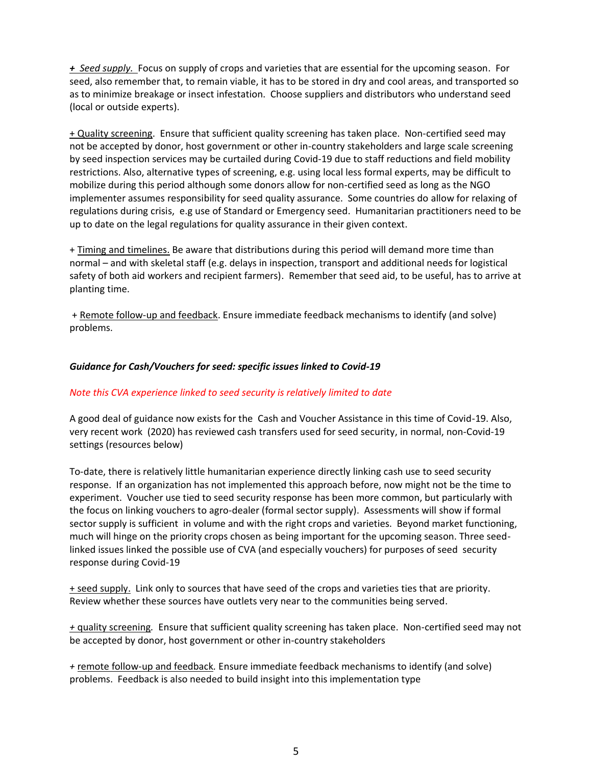*+ Seed supply.* Focus on supply of crops and varieties that are essential for the upcoming season. For seed, also remember that, to remain viable, it has to be stored in dry and cool areas, and transported so as to minimize breakage or insect infestation. Choose suppliers and distributors who understand seed (local or outside experts).

+ Quality screening. Ensure that sufficient quality screening has taken place. Non-certified seed may not be accepted by donor, host government or other in-country stakeholders and large scale screening by seed inspection services may be curtailed during Covid-19 due to staff reductions and field mobility restrictions. Also, alternative types of screening, e.g. using local less formal experts, may be difficult to mobilize during this period although some donors allow for non-certified seed as long as the NGO implementer assumes responsibility for seed quality assurance. Some countries do allow for relaxing of regulations during crisis, e.g use of Standard or Emergency seed. Humanitarian practitioners need to be up to date on the legal regulations for quality assurance in their given context.

+ Timing and timelines. Be aware that distributions during this period will demand more time than normal – and with skeletal staff (e.g. delays in inspection, transport and additional needs for logistical safety of both aid workers and recipient farmers). Remember that seed aid, to be useful, has to arrive at planting time.

+ Remote follow-up and feedback. Ensure immediate feedback mechanisms to identify (and solve) problems.

## *Guidance for Cash/Vouchers for seed: specific issues linked to Covid-19*

## *Note this CVA experience linked to seed security is relatively limited to date*

A good deal of guidance now exists for the Cash and Voucher Assistance in this time of Covid-19. Also, very recent work (2020) has reviewed cash transfers used for seed security, in normal, non-Covid-19 settings (resources below)

To-date, there is relatively little humanitarian experience directly linking cash use to seed security response. If an organization has not implemented this approach before, now might not be the time to experiment. Voucher use tied to seed security response has been more common, but particularly with the focus on linking vouchers to agro-dealer (formal sector supply). Assessments will show if formal sector supply is sufficient in volume and with the right crops and varieties. Beyond market functioning, much will hinge on the priority crops chosen as being important for the upcoming season. Three seedlinked issues linked the possible use of CVA (and especially vouchers) for purposes of seed security response during Covid-19

+ seed supply. Link only to sources that have seed of the crops and varieties ties that are priority. Review whether these sources have outlets very near to the communities being served.

*+* quality screening*.* Ensure that sufficient quality screening has taken place. Non-certified seed may not be accepted by donor, host government or other in-country stakeholders

*+* remote follow-up and feedback*.* Ensure immediate feedback mechanisms to identify (and solve) problems. Feedback is also needed to build insight into this implementation type